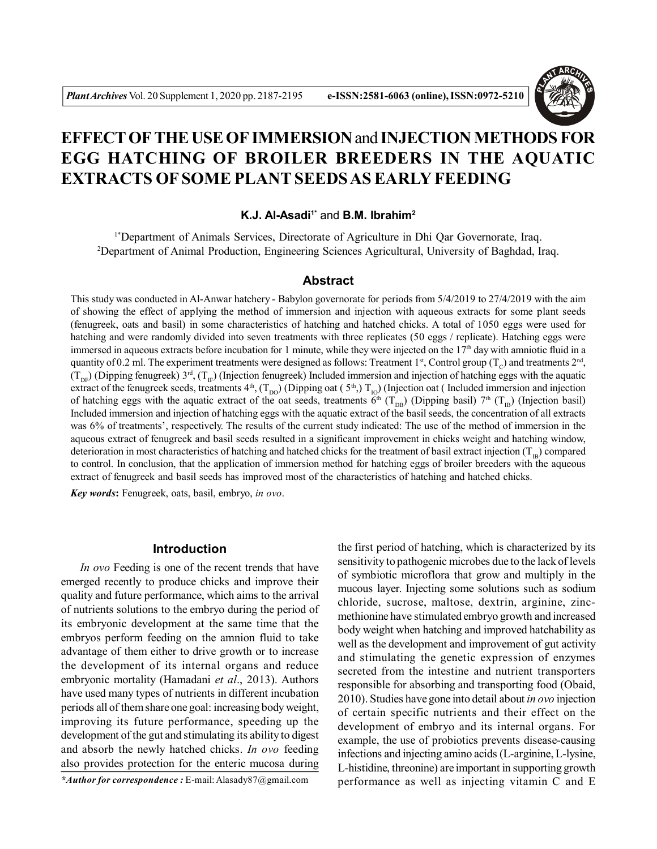

# **EFFECT OF THE USE OF IMMERSION** and **INJECTION METHODS FOR EGG HATCHING OF BROILER BREEDERS IN THE AQUATIC EXTRACTS OF SOME PLANT SEEDS AS EARLY FEEDING**

**K.J. Al-Asadi1\*** and **B.M. Ibrahim<sup>2</sup>**

1\*Department of Animals Services, Directorate of Agriculture in Dhi Qar Governorate, Iraq. <sup>2</sup>Department of Animal Production, Engineering Sciences Agricultural, University of Baghdad, Iraq.

### **Abstract**

This study was conducted in Al-Anwar hatchery - Babylon governorate for periods from  $5/4/2019$  to  $27/4/2019$  with the aim of showing the effect of applying the method of immersion and injection with aqueous extracts for some plant seeds (fenugreek, oats and basil) in some characteristics of hatching and hatched chicks. A total of 1050 eggs were used for hatching and were randomly divided into seven treatments with three replicates (50 eggs / replicate). Hatching eggs were immersed in aqueous extracts before incubation for 1 minute, while they were injected on the  $17<sup>th</sup>$  day with amniotic fluid in a quantity of 0.2 ml. The experiment treatments were designed as follows: Treatment 1<sup>st</sup>, Control group ( $T_c$ ) and treatments 2<sup>nd</sup>,  $(T_{DF})$  (Dipping fenugreek) 3<sup>rd</sup>,  $(T_{IF})$  (Injection fenugreek) Included immersion and injection of hatching eggs with the aquatic extract of the fenugreek seeds, treatments  $4<sup>th</sup>$ , (T<sub>DO</sub>) (Dipping oat (5<sup>th</sup>), T<sub>IO</sub>) (Injection oat (Included immersion and injection of hatching eggs with the aquatic extract of the oat seeds, treatments  $\ddot{\theta}^{\text{th}}$  (T<sub>DB</sub>) (Dipping basil) 7<sup>th</sup> (T<sub>B</sub>) (Injection basil) Included immersion and injection of hatching eggs with the aquatic extract of the basil seeds, the concentration of all extracts was 6% of treatments', respectively. The results of the current study indicated: The use of the method of immersion in the aqueous extract of fenugreek and basil seeds resulted in a significant improvement in chicks weight and hatching window, deterioration in most characteristics of hatching and hatched chicks for the treatment of basil extract injection  $(T_{IB})$  compared to control. In conclusion, that the application of immersion method for hatching eggs of broiler breeders with the aqueous extract of fenugreek and basil seeds has improved most of the characteristics of hatching and hatched chicks.

*Key words***:** Fenugreek, oats, basil, embryo, *in ovo*.

# **Introduction**

*In ovo* Feeding is one of the recent trends that have emerged recently to produce chicks and improve their quality and future performance, which aims to the arrival of nutrients solutions to the embryo during the period of its embryonic development at the same time that the embryos perform feeding on the amnion fluid to take advantage of them either to drive growth or to increase the development of its internal organs and reduce embryonic mortality (Hamadani *et al*., 2013). Authors have used many types of nutrients in different incubation periods all of them share one goal: increasing body weight, improving its future performance, speeding up the development of the gut and stimulating its ability to digest and absorb the newly hatched chicks. *In ovo* feeding also provides protection for the enteric mucosa during

*\*Author for correspondence :* E-mail: Alasady87@gmail.com

the first period of hatching, which is characterized by its sensitivity to pathogenic microbes due to the lack of levels of symbiotic microflora that grow and multiply in the mucous layer. Injecting some solutions such as sodium chloride, sucrose, maltose, dextrin, arginine, zincmethionine have stimulated embryo growth and increased body weight when hatching and improved hatchability as well as the development and improvement of gut activity and stimulating the genetic expression of enzymes secreted from the intestine and nutrient transporters responsible for absorbing and transporting food (Obaid, 2010). Studies have gone into detail about *in ovo* injection of certain specific nutrients and their effect on the development of embryo and its internal organs. For example, the use of probiotics prevents disease-causing infections and injecting amino acids (L-arginine, L-lysine, L-histidine, threonine) are important in supporting growth performance as well as injecting vitamin C and E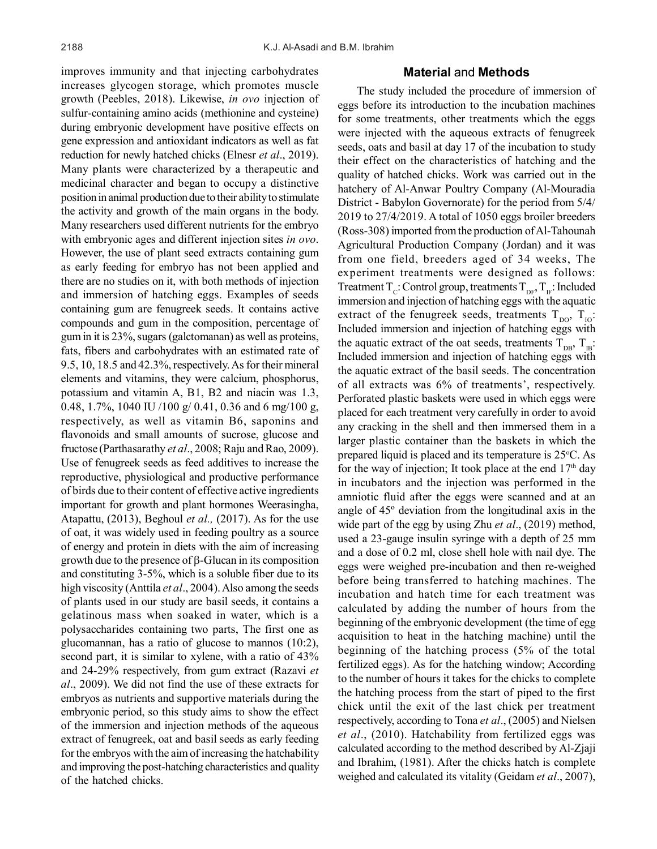improves immunity and that injecting carbohydrates increases glycogen storage, which promotes muscle growth (Peebles, 2018). Likewise, *in ovo* injection of sulfur-containing amino acids (methionine and cysteine) during embryonic development have positive effects on gene expression and antioxidant indicators as well as fat reduction for newly hatched chicks (Elnesr *et al*., 2019). Many plants were characterized by a therapeutic and medicinal character and began to occupy a distinctive position in animal production due to their ability to stimulate the activity and growth of the main organs in the body. Many researchers used different nutrients for the embryo with embryonic ages and different injection sites *in ovo*. However, the use of plant seed extracts containing gum as early feeding for embryo has not been applied and there are no studies on it, with both methods of injection and immersion of hatching eggs. Examples of seeds containing gum are fenugreek seeds. It contains active compounds and gum in the composition, percentage of gum in it is 23%, sugars (galctomanan) as well as proteins, fats, fibers and carbohydrates with an estimated rate of 9.5, 10, 18.5 and 42.3%, respectively. As for their mineral elements and vitamins, they were calcium, phosphorus, potassium and vitamin A, B1, B2 and niacin was 1.3, 0.48, 1.7%, 1040 IU /100 g/ 0.41, 0.36 and 6 mg/100 g, respectively, as well as vitamin B6, saponins and flavonoids and small amounts of sucrose, glucose and fructose (Parthasarathy *et al*., 2008; Raju and Rao, 2009). Use of fenugreek seeds as feed additives to increase the reproductive, physiological and productive performance of birds due to their content of effective active ingredients important for growth and plant hormones Weerasingha, Atapattu, (2013), Beghoul *et al.,* (2017). As for the use of oat, it was widely used in feeding poultry as a source of energy and protein in diets with the aim of increasing growth due to the presence of  $\beta$ -Glucan in its composition and constituting 3-5%, which is a soluble fiber due to its high viscosity (Anttila *et al*., 2004). Also among the seeds of plants used in our study are basil seeds, it contains a gelatinous mass when soaked in water, which is a polysaccharides containing two parts, The first one as glucomannan, has a ratio of glucose to mannos (10:2), second part, it is similar to xylene, with a ratio of 43% and 24-29% respectively, from gum extract (Razavi *et al*., 2009). We did not find the use of these extracts for embryos as nutrients and supportive materials during the embryonic period, so this study aims to show the effect of the immersion and injection methods of the aqueous extract of fenugreek, oat and basil seeds as early feeding for the embryos with the aim of increasing the hatchability and improving the post-hatching characteristics and quality of the hatched chicks.

# **Material** and **Methods**

The study included the procedure of immersion of eggs before its introduction to the incubation machines for some treatments, other treatments which the eggs were injected with the aqueous extracts of fenugreek seeds, oats and basil at day 17 of the incubation to study their effect on the characteristics of hatching and the quality of hatched chicks. Work was carried out in the hatchery of Al-Anwar Poultry Company (Al-Mouradia District - Babylon Governorate) for the period from 5/4/ 2019 to 27/4/2019. A total of 1050 eggs broiler breeders (Ross-308) imported from the production of Al-Tahounah Agricultural Production Company (Jordan) and it was from one field, breeders aged of 34 weeks, The experiment treatments were designed as follows: Treatment T<sub>C</sub>: Control group, treatments T<sub>DF</sub>, T<sub>IF</sub>: Included immersion and injection of hatching eggs with the aquatic extract of the fenugreek seeds, treatments  $T_{\text{no}}$ ,  $T_{\text{o}}$ : Included immersion and injection of hatching eggs with the aquatic extract of the oat seeds, treatments  $T_{\text{DB}}$ ,  $T_{\text{IB}}$ : Included immersion and injection of hatching eggs with the aquatic extract of the basil seeds. The concentration of all extracts was 6% of treatments', respectively. Perforated plastic baskets were used in which eggs were placed for each treatment very carefully in order to avoid any cracking in the shell and then immersed them in a larger plastic container than the baskets in which the prepared liquid is placed and its temperature is  $25^{\circ}$ C. As for the way of injection; It took place at the end  $17<sup>th</sup>$  day in incubators and the injection was performed in the amniotic fluid after the eggs were scanned and at an angle of 45º deviation from the longitudinal axis in the wide part of the egg by using Zhu *et al*., (2019) method, used a 23-gauge insulin syringe with a depth of 25 mm and a dose of 0.2 ml, close shell hole with nail dye. The eggs were weighed pre-incubation and then re-weighed before being transferred to hatching machines. The incubation and hatch time for each treatment was calculated by adding the number of hours from the beginning of the embryonic development (the time of egg acquisition to heat in the hatching machine) until the beginning of the hatching process (5% of the total fertilized eggs). As for the hatching window; According to the number of hours it takes for the chicks to complete the hatching process from the start of piped to the first chick until the exit of the last chick per treatment respectively, according to Tona *et al*., (2005) and Nielsen *et al*., (2010). Hatchability from fertilized eggs was calculated according to the method described by Al-Zjaji and Ibrahim, (1981). After the chicks hatch is complete weighed and calculated its vitality (Geidam *et al*., 2007),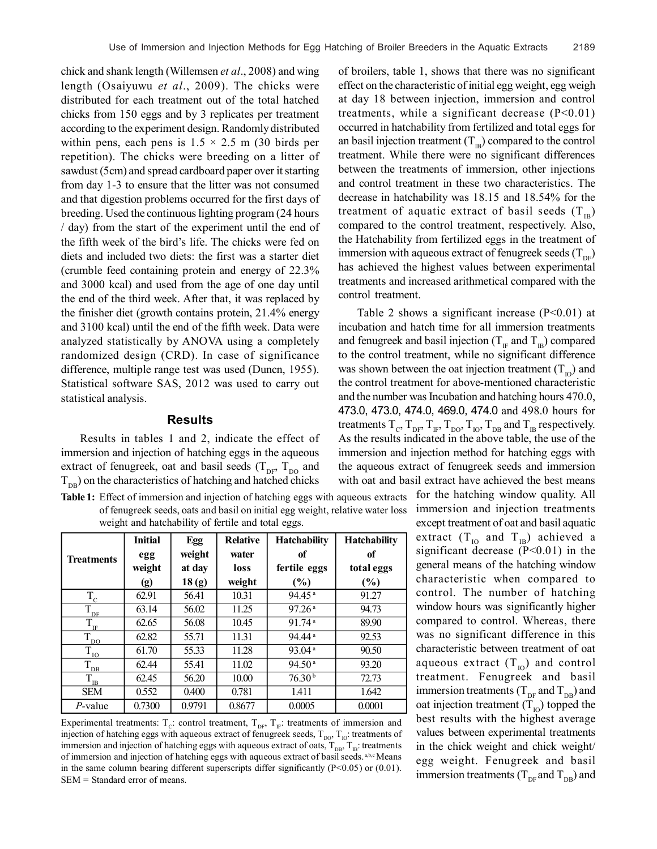chick and shank length (Willemsen *et al*., 2008) and wing length (Osaiyuwu *et al*., 2009). The chicks were distributed for each treatment out of the total hatched chicks from 150 eggs and by 3 replicates per treatment according to the experiment design. Randomly distributed within pens, each pens is  $1.5 \times 2.5$  m (30 birds per repetition). The chicks were breeding on a litter of sawdust (5cm) and spread cardboard paper over it starting from day 1-3 to ensure that the litter was not consumed and that digestion problems occurred for the first days of breeding. Used the continuous lighting program (24 hours / day) from the start of the experiment until the end of the fifth week of the bird's life. The chicks were fed on diets and included two diets: the first was a starter diet (crumble feed containing protein and energy of 22.3% and 3000 kcal) and used from the age of one day until the end of the third week. After that, it was replaced by the finisher diet (growth contains protein, 21.4% energy and 3100 kcal) until the end of the fifth week. Data were analyzed statistically by ANOVA using a completely randomized design (CRD). In case of significance difference, multiple range test was used (Duncn, 1955). Statistical software SAS, 2012 was used to carry out statistical analysis.

#### **Results**

Results in tables 1 and 2, indicate the effect of immersion and injection of hatching eggs in the aqueous extract of fenugreek, oat and basil seeds  $(T_{\text{DF}}, T_{\text{DO}})$  and  $T_{\text{DB}}$ ) on the characteristics of hatching and hatched chicks

**Table 1:** Effect of immersion and injection of hatching eggs with aqueous extracts of fenugreek seeds, oats and basil on initial egg weight, relative water loss weight and hatchability of fertile and total eggs.

| <b>Treatments</b>                            | <b>Initial</b><br>egg     | Egg<br>weight | <b>Relative</b><br>water | <b>Hatchability</b><br>of | <b>Hatchability</b><br>of |
|----------------------------------------------|---------------------------|---------------|--------------------------|---------------------------|---------------------------|
|                                              | weight                    | at day        | loss                     | fertile eggs              | total eggs                |
|                                              | $\left( \text{g} \right)$ | 18(g)         | weight                   | $(\%)$                    | $(\%)$                    |
| $T_c$                                        | 62.91                     | 56.41         | 10.31                    | $94.45$ <sup>a</sup>      | 91.27                     |
| $\bar{\mathrm{T}}_{\underline{\mathrm{DF}}}$ | 63.14                     | 56.02         | 11.25                    | 97.26a                    | 94.73                     |
| $T_{\rm ff}$                                 | 62.65                     | 56.08         | 10.45                    | 91.74a                    | 89.90                     |
| $\bar{T}$ <sub>DO</sub>                      | 62.82                     | 55.71         | 11.31                    | 94.44 <sup>a</sup>        | 92.53                     |
| $\dot{T}_{\text{LO}}$                        | 61.70                     | 55.33         | 11.28                    | 93.04 <sup>a</sup>        | 90.50                     |
| $\bar{\mathrm{T}}_{\underline{\mathrm{DB}}}$ | 62.44                     | 55.41         | 11.02                    | 94.50 <sup>a</sup>        | 93.20                     |
| $T_{IB}$                                     | 62.45                     | 56.20         | 10.00                    | 76.30 <sup>b</sup>        | 72.73                     |
| <b>SEM</b>                                   | 0.552                     | 0.400         | 0.781                    | 1.411                     | 1.642                     |
| $P$ -value                                   | 0.7300                    | 0.9791        | 0.8677                   | 0.0005                    | 0.0001                    |

Experimental treatments:  $T_c$ : control treatment,  $T_{DF}$ ,  $T_F$ : treatments of immersion and injection of hatching eggs with aqueous extract of fenugreek seeds,  $T_{DO}$ ,  $T_{IO}$ : treatments of immersion and injection of hatching eggs with aqueous extract of oats,  $T_{DB}$ ,  $T_{IB}$ : treatments of immersion and injection of hatching eggs with aqueous extract of basil seeds. a,b,c Means in the same column bearing different superscripts differ significantly  $(P<0.05)$  or  $(0.01)$ . SEM = Standard error of means.

of broilers, table 1, shows that there was no significant effect on the characteristic of initial egg weight, egg weigh at day 18 between injection, immersion and control treatments, while a significant decrease  $(P<0.01)$ occurred in hatchability from fertilized and total eggs for an basil injection treatment  $(T_{\text{IR}})$  compared to the control treatment. While there were no significant differences between the treatments of immersion, other injections and control treatment in these two characteristics. The decrease in hatchability was 18.15 and 18.54% for the treatment of aquatic extract of basil seeds  $(T_{IB})$ compared to the control treatment, respectively. Also, the Hatchability from fertilized eggs in the treatment of immersion with aqueous extract of fenugreek seeds  $(T_{DE})$ has achieved the highest values between experimental treatments and increased arithmetical compared with the control treatment.

Table 2 shows a significant increase  $(P<0.01)$  at incubation and hatch time for all immersion treatments and fenugreek and basil injection  $(T_{IF}$  and  $T_{IB}$ ) compared to the control treatment, while no significant difference was shown between the oat injection treatment  $(T_{10})$  and the control treatment for above-mentioned characteristic and the number was Incubation and hatching hours 470.0, 473.0, 473.0, 474.0, 469.0, 474.0 and 498.0 hours for treatments  $T_c$ ,  $T_{DF}$ ,  $T_F$ ,  $T_{DO}$ ,  $T_{IO}$ ,  $T_{DB}$  and  $T_B$  respectively. As the results indicated in the above table, the use of the immersion and injection method for hatching eggs with the aqueous extract of fenugreek seeds and immersion with oat and basil extract have achieved the best means

> for the hatching window quality. All immersion and injection treatments except treatment of oat and basil aquatic extract  $(T_{IO}$  and  $T_{IB}$ ) achieved a significant decrease  $(P<0.01)$  in the general means of the hatching window characteristic when compared to control. The number of hatching window hours was significantly higher compared to control. Whereas, there was no significant difference in this characteristic between treatment of oat aqueous extract  $(T_{10})$  and control treatment. Fenugreek and basil immersion treatments ( $T_{DE}$  and  $T_{DE}$ ) and oat injection treatment  $(T_{\text{IO}})$  topped the best results with the highest average values between experimental treatments in the chick weight and chick weight/ egg weight. Fenugreek and basil immersion treatments ( $T_{\text{DE}}$  and  $T_{\text{DB}}$ ) and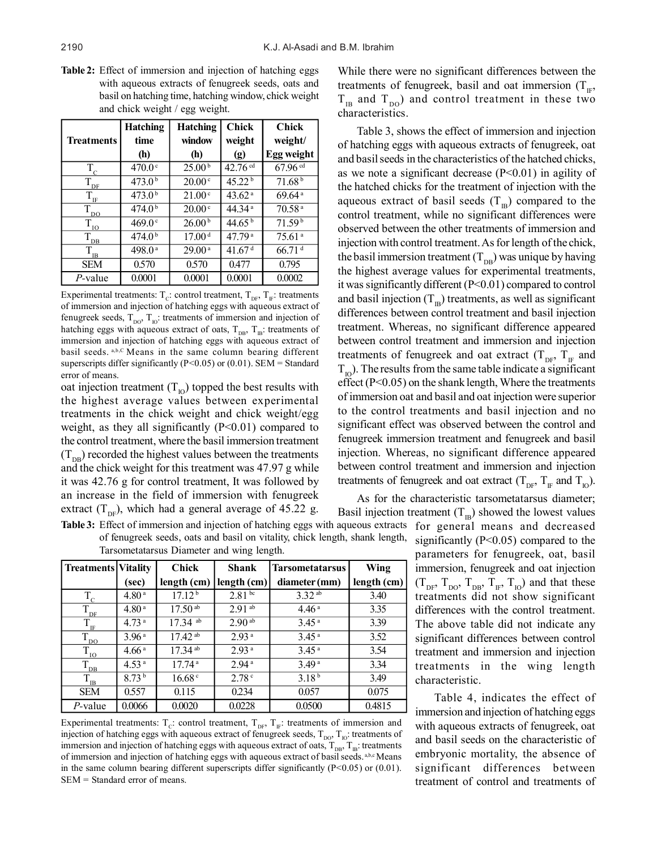**Table 2:** Effect of immersion and injection of hatching eggs with aqueous extracts of fenugreek seeds, oats and basil on hatching time, hatching window, chick weight and chick weight / egg weight.

|                         | <b>Hatching</b>    | <b>Hatching</b>    | <b>Chick</b>                 | <b>Chick</b>         |
|-------------------------|--------------------|--------------------|------------------------------|----------------------|
| <b>Treatments</b>       | time               | window             | weight                       | weight/              |
|                         | (h)                | (h)                | $\left( \text{g} \right)$    | <b>Egg weight</b>    |
| $T_c$                   | 470.0 <sup>c</sup> | 25.00 <sup>b</sup> | $42.76 \text{ }^{\text{cd}}$ | 67.96 cd             |
| $T_{DE}$                | 473.0 <sup>b</sup> | 20.00c             | 45.22 <sup>b</sup>           | 71.68 <sup>b</sup>   |
| $T_{\text{IF}}$         | 473.0 <sup>b</sup> | 21.00 <sup>c</sup> | 43.62 <sup>a</sup>           | $69.64$ <sup>a</sup> |
| $\tilde{T}_{\text{DO}}$ | 474.0 <sup>b</sup> | 20.00c             | 44.34 <sup>a</sup>           | 70.58 <sup>a</sup>   |
| $T_{\underline{I0}}$    | 469.0°             | 26.00 <sup>b</sup> | 44.65 $^{\rm b}$             | $71.59^{b}$          |
| $\bar{T}_{_{\rm{DB}}}$  | 474.0 <sup>b</sup> | 17.00 <sup>d</sup> | 47.79 <sup>a</sup>           | 75.61 <sup>a</sup>   |
| $T_{\text{IB}}$         | 498.0 <sup>a</sup> | $29.00^{\text{a}}$ | 41.67 <sup>d</sup>           | $66.71$ <sup>d</sup> |
| <b>SEM</b>              | 0.570              | 0.570              | 0.477                        | 0.795                |
| P-value                 | 0.0001             | 0.0001             | 0.0001                       | 0.0002               |

Experimental treatments:  $T_c$ : control treatment,  $T_{DF}$ ,  $T_F$ : treatments of immersion and injection of hatching eggs with aqueous extract of fenugreek seeds,  $T_{\text{DO}}$ ,  $T_{\text{IO}}$ : treatments of immersion and injection of hatching eggs with aqueous extract of oats,  $T_{DB}$ ,  $T_B$ : treatments of immersion and injection of hatching eggs with aqueous extract of basil seeds. a,b,C Means in the same column bearing different superscripts differ significantly (P<0.05) or (0.01). SEM = Standard error of means.

oat injection treatment  $(T_{10})$  topped the best results with the highest average values between experimental treatments in the chick weight and chick weight/egg weight, as they all significantly  $(P<0.01)$  compared to the control treatment, where the basil immersion treatment  $(T_{DB})$  recorded the highest values between the treatments and the chick weight for this treatment was 47.97 g while it was 42.76 g for control treatment, It was followed by an increase in the field of immersion with fenugreek extract ( $T_{\text{DF}}$ ), which had a general average of 45.22 g. While there were no significant differences between the treatments of fenugreek, basil and oat immersion  $(T_{IF},$  $T_{IB}$  and  $T_{DO}$ ) and control treatment in these two characteristics.

Table 3, shows the effect of immersion and injection of hatching eggs with aqueous extracts of fenugreek, oat and basil seeds in the characteristics of the hatched chicks, as we note a significant decrease  $(P<0.01)$  in agility of the hatched chicks for the treatment of injection with the aqueous extract of basil seeds  $(T_{\text{IB}})$  compared to the control treatment, while no significant differences were observed between the other treatments of immersion and injection with control treatment. As for length of the chick, the basil immersion treatment  $(T_{DB})$  was unique by having the highest average values for experimental treatments, it was significantly different (P<0.01) compared to control and basil injection  $(T_B)$  treatments, as well as significant differences between control treatment and basil injection treatment. Whereas, no significant difference appeared between control treatment and immersion and injection treatments of fenugreek and oat extract  $(T_{DF}, T_{IF}$  and  $T_{10}$ ). The results from the same table indicate a significant effect (P<0.05) on the shank length, Where the treatments of immersion oat and basil and oat injection were superior to the control treatments and basil injection and no significant effect was observed between the control and fenugreek immersion treatment and fenugreek and basil injection. Whereas, no significant difference appeared between control treatment and immersion and injection treatments of fenugreek and oat extract  $(T_{DE}, T_{IF}$  and  $T_{ID}$ ).

As for the characteristic tarsometatarsus diameter; Basil injection treatment  $(T_{\text{IR}})$  showed the lowest values for general means and decreased significantly ( $P<0.05$ ) compared to the parameters for fenugreek, oat, basil immersion, fenugreek and oat injection  $(T_{DF}, T_{DO}, T_{DB}, T_{IF}, T_{IO})$  and that these treatments did not show significant differences with the control treatment. The above table did not indicate any significant differences between control treatment and immersion and injection treatments in the wing length characteristic.

> Table 4, indicates the effect of immersion and injection of hatching eggs with aqueous extracts of fenugreek, oat and basil seeds on the characteristic of embryonic mortality, the absence of significant differences between treatment of control and treatments of

| <b>Table 3:</b> Effect of immersion and injection of hatching eggs with aqueous extracts |
|------------------------------------------------------------------------------------------|
| of fenugreek seeds, oats and basil on vitality, chick length, shank length,              |
| Tarsometatarsus Diameter and wing length.                                                |
|                                                                                          |

| <b>Treatments Vitality</b>            |                   | <b>Chick</b>          | <b>Shank</b>       | <b>Tarsometatarsus</b> | Wing        |
|---------------------------------------|-------------------|-----------------------|--------------------|------------------------|-------------|
|                                       | (sec)             | length (cm)           | length (cm)        | diameter (mm)          | length (cm) |
| $T_{\rm c}$                           | 4.80 <sup>a</sup> | 17.12 <sup>b</sup>    | 2.81 <sup>bc</sup> | $3.32^{ab}$            | 3.40        |
| $\vec{T}_{\rm DE}$                    | 4.80 <sup>a</sup> | $17.50\,\text{ab}$    | $2.91$ ab          | 4.46 <sup>a</sup>      | 3.35        |
| $T_{\rm IF}$                          | 4.73 <sup>a</sup> | $17.34$ ab            | $2.90^{ab}$        | 3.45 <sup>a</sup>      | 3.39        |
| T<br>D <sub>O</sub>                   | 3.96 <sup>a</sup> | $17.42$ ab            | 2.93 <sup>a</sup>  | 3.45 <sup>a</sup>      | 3.52        |
| $T_{\underline{IO}}$                  | 4.66 <sup>a</sup> | $17.34$ <sup>ab</sup> | 2.93 <sup>a</sup>  | 3.45 <sup>a</sup>      | 3.54        |
| $\overline{T}_{\overline{\text{DB}}}$ | 4.53 <sup>a</sup> | 17.74 <sup>a</sup>    | 2.94 <sup>a</sup>  | 3.49 <sup>a</sup>      | 3.34        |
| $T_{\underline{\mathbf{B}}}$          | 8.73 <sup>b</sup> | 16.68 <sup>c</sup>    | 2.78 <sup>c</sup>  | 3.18 <sup>b</sup>      | 3.49        |
| <b>SEM</b>                            | 0.557             | 0.115                 | 0.234              | 0.057                  | 0.075       |
| P-value                               | 0.0066            | 0.0020                | 0.0228             | 0.0500                 | 0.4815      |

Experimental treatments:  $T_c$ : control treatment,  $T_{DF}$ ,  $T_F$ : treatments of immersion and injection of hatching eggs with aqueous extract of fenugreek seeds,  $T_{DO}$ ,  $T_{IO}$ : treatments of immersion and injection of hatching eggs with aqueous extract of oats,  $T_{\text{DB}}$ ,  $T_{\text{IB}}$ : treatments of immersion and injection of hatching eggs with aqueous extract of basil seeds. a,b,c Means in the same column bearing different superscripts differ significantly  $(P<0.05)$  or  $(0.01)$ . SEM = Standard error of means.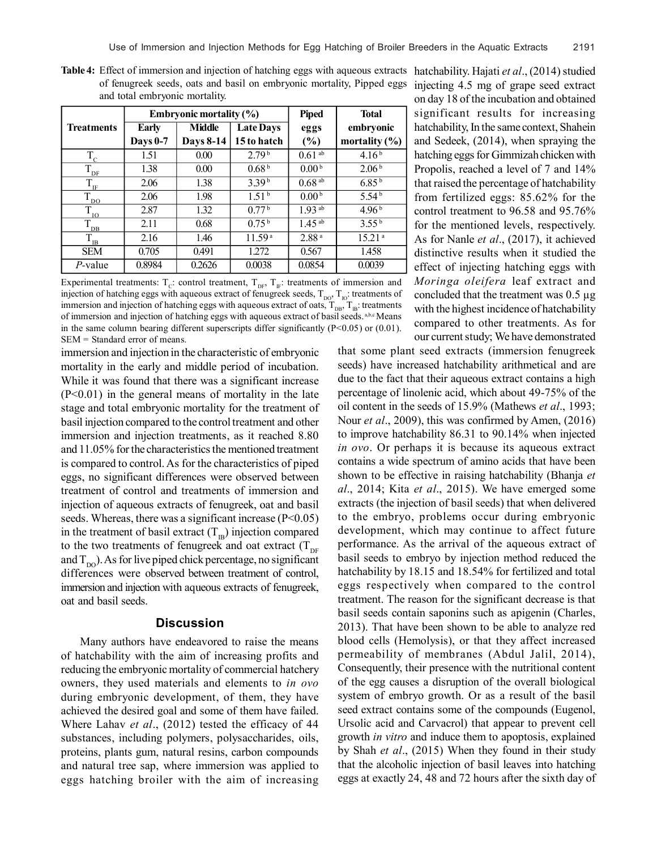|                             |                 | <b>Embryonic mortality (%)</b> |                    |                      | <b>Total</b>       |
|-----------------------------|-----------------|--------------------------------|--------------------|----------------------|--------------------|
| <b>Treatments</b>           | Early           | <b>Middle</b>                  | <b>Late Days</b>   | eggs                 | embryonic          |
|                             | <b>Days 0-7</b> | <b>Days 8-14</b>               | 15 to hatch        | (%)                  | mortality $(\% )$  |
| $T_c$                       | 1.51            | 0.00                           | 2.79 <sup>b</sup>  | $0.61$ <sup>ab</sup> | 4.16 <sup>b</sup>  |
| $T_{\underline{DF}}$        | 1.38            | 0.00                           | 0.68 <sup>b</sup>  | 0.00 <sup>b</sup>    | 2.06 <sup>b</sup>  |
| $T_{\text{IF}}$             | 2.06            | 1.38                           | 3.39 <sup>b</sup>  | $0.68$ <sup>ab</sup> | 6.85 <sup>b</sup>  |
| $T_{\underline{DO}}$        | 2.06            | 1.98                           | 1.51 <sup>b</sup>  | 0.00 <sup>b</sup>    | 5.54 <sup>b</sup>  |
| $T_{\underline{\text{IO}}}$ | 2.87            | 1.32                           | 0.77 <sup>b</sup>  | $1.93$ <sup>ab</sup> | 4.96 <sup>b</sup>  |
| $T_{\underline{DB}}$        | 2.11            | 0.68                           | 0.75 <sup>b</sup>  | $1.45$ <sup>ab</sup> | 3.55 <sup>b</sup>  |
| $T_{\text{IB}}$             | 2.16            | 1.46                           | 11.59 <sup>a</sup> | 2.88 <sup>a</sup>    | 15.21 <sup>a</sup> |
| <b>SEM</b>                  | 0.705           | 0.491                          | 1.272              | 0.567                | 1.458              |
| P-value                     | 0.8984          | 0.2626                         | 0.0038             | 0.0854               | 0.0039             |

Table 4: Effect of immersion and injection of hatching eggs with aqueous extracts hatchability. Hajati et al., (2014) studied of fenugreek seeds, oats and basil on embryonic mortality, Pipped eggs and total embryonic mortality.

Experimental treatments:  $T_c$ : control treatment,  $T_{DF}$ ,  $T_F$ : treatments of immersion and injection of hatching eggs with aqueous extract of fenugreek seeds,  $T_{DO}$ ,  $T_{IO}$ : treatments of immersion and injection of hatching eggs with aqueous extract of oats,  $T_{DB}$ ,  $T_{IB}$ : treatments of immersion and injection of hatching eggs with aqueous extract of basil seeds. a,b,c Means in the same column bearing different superscripts differ significantly  $(P<0.05)$  or  $(0.01)$ . SEM = Standard error of means.

immersion and injection in the characteristic of embryonic mortality in the early and middle period of incubation. While it was found that there was a significant increase  $(P<0.01)$  in the general means of mortality in the late stage and total embryonic mortality for the treatment of basil injection compared to the control treatment and other immersion and injection treatments, as it reached 8.80 and 11.05% for the characteristics the mentioned treatment is compared to control. As for the characteristics of piped eggs, no significant differences were observed between treatment of control and treatments of immersion and injection of aqueous extracts of fenugreek, oat and basil seeds. Whereas, there was a significant increase  $(P<0.05)$ in the treatment of basil extract  $(T_{\text{IB}})$  injection compared to the two treatments of fenugreek and oat extract  $(T_{DF}$ and  $T_{\text{no}}$ ). As for live piped chick percentage, no significant differences were observed between treatment of control, immersion and injection with aqueous extracts of fenugreek, oat and basil seeds.

#### **Discussion**

Many authors have endeavored to raise the means of hatchability with the aim of increasing profits and reducing the embryonic mortality of commercial hatchery owners, they used materials and elements to *in ovo* during embryonic development, of them, they have achieved the desired goal and some of them have failed. Where Lahav *et al*., (2012) tested the efficacy of 44 substances, including polymers, polysaccharides, oils, proteins, plants gum, natural resins, carbon compounds and natural tree sap, where immersion was applied to eggs hatching broiler with the aim of increasing injecting 4.5 mg of grape seed extract on day 18 of the incubation and obtained significant results for increasing hatchability, In the same context, Shahein and Sedeek, (2014), when spraying the hatching eggs for Gimmizah chicken with Propolis, reached a level of 7 and 14% that raised the percentage of hatchability from fertilized eggs: 85.62% for the control treatment to 96.58 and 95.76% for the mentioned levels, respectively. As for Nanle *et al*., (2017), it achieved distinctive results when it studied the effect of injecting hatching eggs with *Moringa oleifera* leaf extract and concluded that the treatment was 0.5 µg with the highest incidence of hatchability compared to other treatments. As for our current study; We have demonstrated

that some plant seed extracts (immersion fenugreek seeds) have increased hatchability arithmetical and are due to the fact that their aqueous extract contains a high percentage of linolenic acid, which about 49-75% of the oil content in the seeds of 15.9% (Mathews *et al*., 1993; Nour *et al*., 2009), this was confirmed by Amen, (2016) to improve hatchability 86.31 to 90.14% when injected *in ovo*. Or perhaps it is because its aqueous extract contains a wide spectrum of amino acids that have been shown to be effective in raising hatchability (Bhanja *et al*., 2014; Kita *et al*., 2015). We have emerged some extracts (the injection of basil seeds) that when delivered to the embryo, problems occur during embryonic development, which may continue to affect future performance. As the arrival of the aqueous extract of basil seeds to embryo by injection method reduced the hatchability by 18.15 and 18.54% for fertilized and total eggs respectively when compared to the control treatment. The reason for the significant decrease is that basil seeds contain saponins such as apigenin (Charles, 2013). That have been shown to be able to analyze red blood cells (Hemolysis), or that they affect increased permeability of membranes (Abdul Jalil, 2014), Consequently, their presence with the nutritional content of the egg causes a disruption of the overall biological system of embryo growth. Or as a result of the basil seed extract contains some of the compounds (Eugenol, Ursolic acid and Carvacrol) that appear to prevent cell growth *in vitro* and induce them to apoptosis, explained by Shah *et al*., (2015) When they found in their study that the alcoholic injection of basil leaves into hatching eggs at exactly 24, 48 and 72 hours after the sixth day of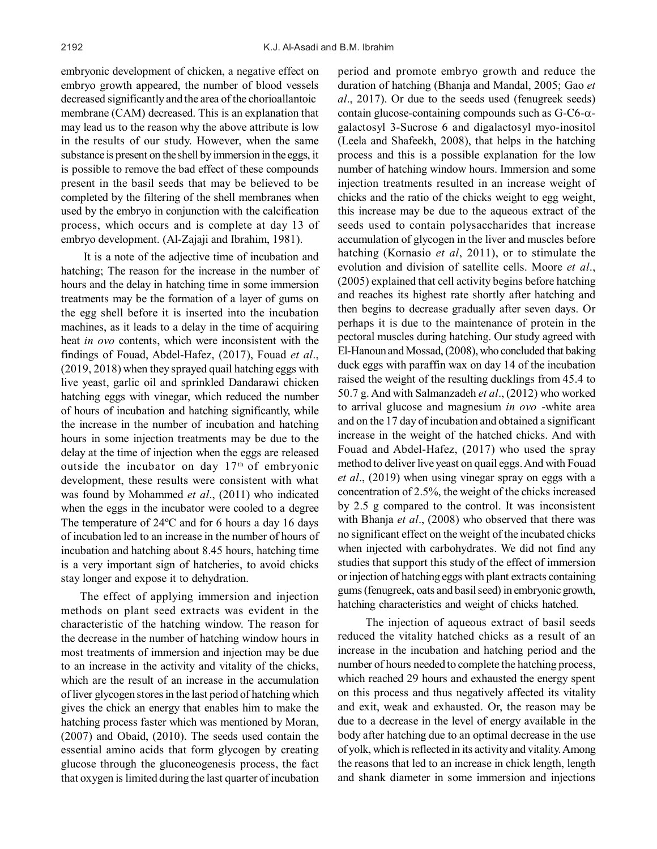embryonic development of chicken, a negative effect on embryo growth appeared, the number of blood vessels decreased significantly and the area of the chorioallantoic membrane (CAM) decreased. This is an explanation that may lead us to the reason why the above attribute is low in the results of our study. However, when the same substance is present on the shell by immersion in the eggs, it is possible to remove the bad effect of these compounds present in the basil seeds that may be believed to be completed by the filtering of the shell membranes when used by the embryo in conjunction with the calcification process, which occurs and is complete at day 13 of embryo development. (Al-Zajaji and Ibrahim, 1981).

It is a note of the adjective time of incubation and hatching; The reason for the increase in the number of hours and the delay in hatching time in some immersion treatments may be the formation of a layer of gums on the egg shell before it is inserted into the incubation machines, as it leads to a delay in the time of acquiring heat *in ovo* contents, which were inconsistent with the findings of Fouad, Abdel-Hafez, (2017), Fouad *et al*., (2019, 2018) when they sprayed quail hatching eggs with live yeast, garlic oil and sprinkled Dandarawi chicken hatching eggs with vinegar, which reduced the number of hours of incubation and hatching significantly, while the increase in the number of incubation and hatching hours in some injection treatments may be due to the delay at the time of injection when the eggs are released outside the incubator on day  $17<sup>th</sup>$  of embryonic development, these results were consistent with what was found by Mohammed *et al*., (2011) who indicated when the eggs in the incubator were cooled to a degree The temperature of 24ºC and for 6 hours a day 16 days of incubation led to an increase in the number of hours of incubation and hatching about 8.45 hours, hatching time is a very important sign of hatcheries, to avoid chicks stay longer and expose it to dehydration.

The effect of applying immersion and injection methods on plant seed extracts was evident in the characteristic of the hatching window. The reason for the decrease in the number of hatching window hours in most treatments of immersion and injection may be due to an increase in the activity and vitality of the chicks, which are the result of an increase in the accumulation of liver glycogen stores in the last period of hatching which gives the chick an energy that enables him to make the hatching process faster which was mentioned by Moran, (2007) and Obaid, (2010). The seeds used contain the essential amino acids that form glycogen by creating glucose through the gluconeogenesis process, the fact that oxygen is limited during the last quarter of incubation period and promote embryo growth and reduce the duration of hatching (Bhanja and Mandal, 2005; Gao *et al*., 2017). Or due to the seeds used (fenugreek seeds) contain glucose-containing compounds such as  $G-C6-\alpha$ galactosyl 3-Sucrose 6 and digalactosyl myo-inositol (Leela and Shafeekh, 2008), that helps in the hatching process and this is a possible explanation for the low number of hatching window hours. Immersion and some injection treatments resulted in an increase weight of chicks and the ratio of the chicks weight to egg weight, this increase may be due to the aqueous extract of the seeds used to contain polysaccharides that increase accumulation of glycogen in the liver and muscles before hatching (Kornasio *et al*, 2011), or to stimulate the evolution and division of satellite cells. Moore *et al*., (2005) explained that cell activity begins before hatching and reaches its highest rate shortly after hatching and then begins to decrease gradually after seven days. Or perhaps it is due to the maintenance of protein in the pectoral muscles during hatching. Our study agreed with El-Hanoun and Mossad, (2008), who concluded that baking duck eggs with paraffin wax on day 14 of the incubation raised the weight of the resulting ducklings from 45.4 to 50.7 g. And with Salmanzadeh *et al*., (2012) who worked to arrival glucose and magnesium *in ovo* -white area and on the 17 day of incubation and obtained a significant increase in the weight of the hatched chicks. And with Fouad and Abdel-Hafez, (2017) who used the spray method to deliver live yeast on quail eggs. And with Fouad *et al*., (2019) when using vinegar spray on eggs with a concentration of 2.5%, the weight of the chicks increased by 2.5 g compared to the control. It was inconsistent with Bhanja *et al*., (2008) who observed that there was no significant effect on the weight of the incubated chicks when injected with carbohydrates. We did not find any studies that support this study of the effect of immersion or injection of hatching eggs with plant extracts containing gums (fenugreek, oats and basil seed) in embryonic growth, hatching characteristics and weight of chicks hatched.

 The injection of aqueous extract of basil seeds reduced the vitality hatched chicks as a result of an increase in the incubation and hatching period and the number of hours needed to complete the hatching process, which reached 29 hours and exhausted the energy spent on this process and thus negatively affected its vitality and exit, weak and exhausted. Or, the reason may be due to a decrease in the level of energy available in the body after hatching due to an optimal decrease in the use of yolk, which is reflected in its activity and vitality. Among the reasons that led to an increase in chick length, length and shank diameter in some immersion and injections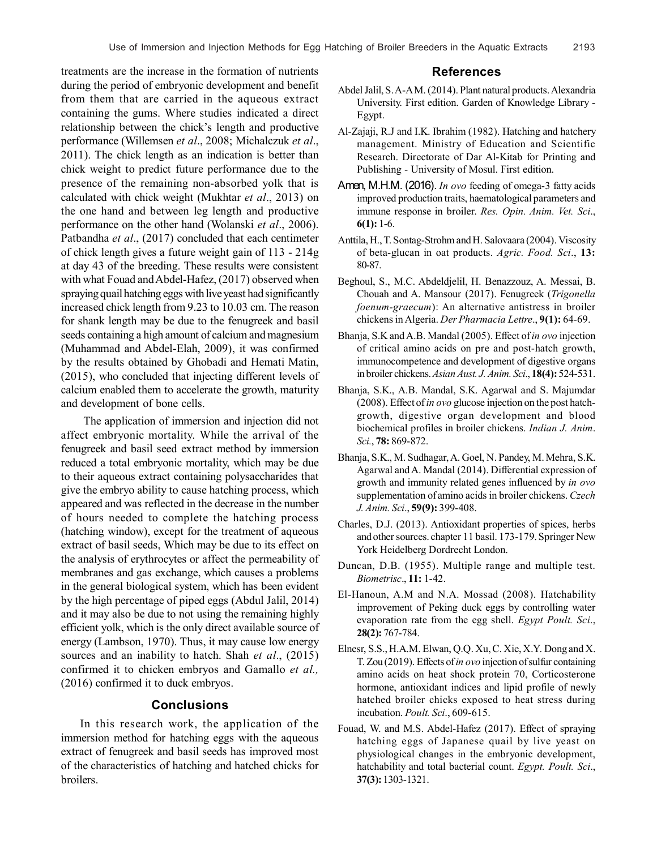treatments are the increase in the formation of nutrients during the period of embryonic development and benefit from them that are carried in the aqueous extract containing the gums. Where studies indicated a direct relationship between the chick's length and productive performance (Willemsen *et al*., 2008; Michalczuk *et al*., 2011). The chick length as an indication is better than chick weight to predict future performance due to the presence of the remaining non-absorbed yolk that is calculated with chick weight (Mukhtar *et al*., 2013) on the one hand and between leg length and productive performance on the other hand (Wolanski *et al*., 2006). Patbandha *et al*., (2017) concluded that each centimeter of chick length gives a future weight gain of 113 - 214g at day 43 of the breeding. These results were consistent with what Fouad and Abdel-Hafez, (2017) observed when spraying quail hatching eggs with live yeast had significantly increased chick length from 9.23 to 10.03 cm. The reason for shank length may be due to the fenugreek and basil seeds containing a high amount of calcium and magnesium (Muhammad and Abdel-Elah, 2009), it was confirmed by the results obtained by Ghobadi and Hemati Matin, (2015), who concluded that injecting different levels of calcium enabled them to accelerate the growth, maturity and development of bone cells.

The application of immersion and injection did not affect embryonic mortality. While the arrival of the fenugreek and basil seed extract method by immersion reduced a total embryonic mortality, which may be due to their aqueous extract containing polysaccharides that give the embryo ability to cause hatching process, which appeared and was reflected in the decrease in the number of hours needed to complete the hatching process (hatching window), except for the treatment of aqueous extract of basil seeds, Which may be due to its effect on the analysis of erythrocytes or affect the permeability of membranes and gas exchange, which causes a problems in the general biological system, which has been evident by the high percentage of piped eggs (Abdul Jalil, 2014) and it may also be due to not using the remaining highly efficient yolk, which is the only direct available source of energy (Lambson, 1970). Thus, it may cause low energy sources and an inability to hatch. Shah *et al*., (2015) confirmed it to chicken embryos and Gamallo *et al.,* (2016) confirmed it to duck embryos.

## **Conclusions**

In this research work, the application of the immersion method for hatching eggs with the aqueous extract of fenugreek and basil seeds has improved most of the characteristics of hatching and hatched chicks for broilers.

## **References**

- Abdel Jalil, S. A-A M. (2014). Plant natural products. Alexandria University. First edition. Garden of Knowledge Library - Egypt.
- Al-Zajaji, R.J and I.K. Ibrahim (1982). Hatching and hatchery management. Ministry of Education and Scientific Research. Directorate of Dar Al-Kitab for Printing and Publishing - University of Mosul. First edition.
- Amen, M.H.M. (2016). *In ovo* feeding of omega-3 fatty acids improved production traits, haematological parameters and immune response in broiler. *Res. Opin. Anim. Vet. Sci*., **6(1):** 1-6.
- Anttila, H., T. Sontag-Strohm and H. Salovaara (2004). Viscosity of beta-glucan in oat products. *Agric. Food. Sci*., **13:** 80-87.
- Beghoul, S., M.C. Abdeldjelil, H. Benazzouz, A. Messai, B. Chouah and A. Mansour (2017). Fenugreek (*Trigonella foenum-graecum*): An alternative antistress in broiler chickens in Algeria. *Der Pharmacia Lettre*., **9(1):** 64-69.
- Bhanja, S.K and A.B. Mandal (2005). Effect of *in ovo* injection of critical amino acids on pre and post-hatch growth, immunocompetence and development of digestive organs in broiler chickens. *Asian Aust. J. Anim. Sci*., **18(4):** 524-531.
- Bhanja, S.K., A.B. Mandal, S.K. Agarwal and S. Majumdar (2008). Effect of *in ovo* glucose injection on the post hatchgrowth, digestive organ development and blood biochemical profiles in broiler chickens. *Indian J. Anim*. *Sci.*, **78:** 869-872.
- Bhanja, S.K., M. Sudhagar, A. Goel, N. Pandey, M. Mehra, S.K. Agarwal and A. Mandal (2014). Differential expression of growth and immunity related genes influenced by *in ovo* supplementation of amino acids in broiler chickens. *Czech J. Anim. Sci*., **59(9):** 399-408.
- Charles, D.J. (2013). Antioxidant properties of spices, herbs and other sources. chapter 11 basil. 173-179. Springer New York Heidelberg Dordrecht London.
- Duncan, D.B. (1955). Multiple range and multiple test. *Biometrisc*., **11:** 1-42.
- El-Hanoun, A.M and N.A. Mossad (2008). Hatchability improvement of Peking duck eggs by controlling water evaporation rate from the egg shell. *Egypt Poult. Sci*., **28(2):** 767-784.
- Elnesr, S.S., H.A.M. Elwan, Q.Q. Xu, C. Xie, X.Y. Dong and X. T. Zou (2019). Effects of *in ovo* injection of sulfur containing amino acids on heat shock protein 70, Corticosterone hormone, antioxidant indices and lipid profile of newly hatched broiler chicks exposed to heat stress during incubation. *Poult. Sci*., 609-615.
- Fouad, W. and M.S. Abdel-Hafez (2017). Effect of spraying hatching eggs of Japanese quail by live yeast on physiological changes in the embryonic development, hatchability and total bacterial count. *Egypt. Poult. Sci*., **37(3):** 1303-1321.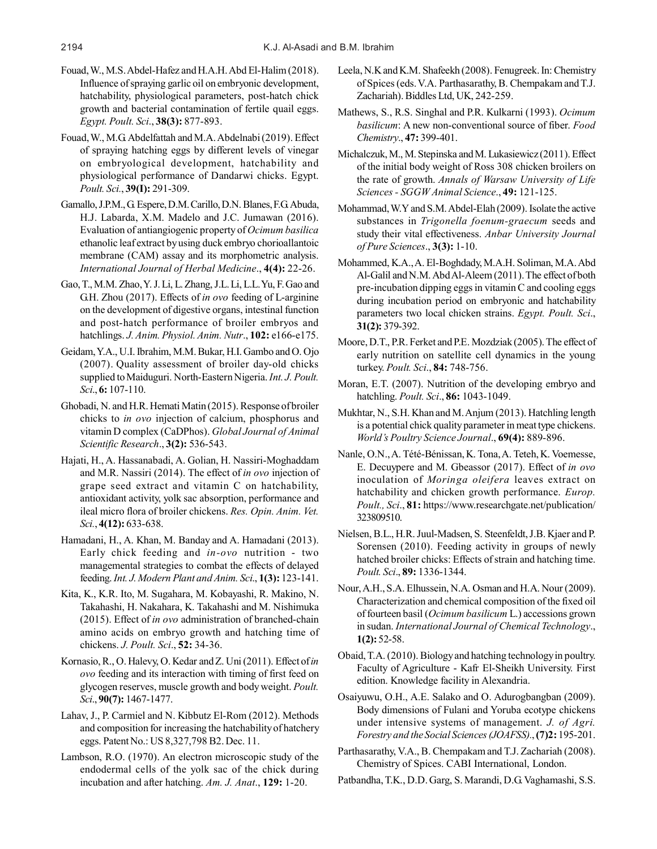- Fouad, W., M.S. Abdel-Hafez and H.A.H. Abd El-Halim (2018). Influence of spraying garlic oil on embryonic development, hatchability, physiological parameters, post-hatch chick growth and bacterial contamination of fertile quail eggs. *Egypt. Poult. Sci*., **38(3):** 877-893.
- Fouad, W., M.G. Abdelfattah and M.A. Abdelnabi (2019). Effect of spraying hatching eggs by different levels of vinegar on embryological development, hatchability and physiological performance of Dandarwi chicks. Egypt. *Poult. Sci.*, **39(I):** 291-309.
- Gamallo, J.P.M., G. Espere, D.M. Carillo, D.N. Blanes, F.G. Abuda, H.J. Labarda, X.M. Madelo and J.C. Jumawan (2016). Evaluation of antiangiogenic property of *Ocimum basilica* ethanolic leaf extract by using duck embryo chorioallantoic membrane (CAM) assay and its morphometric analysis. *International Journal of Herbal Medicine*., **4(4):** 22-26.
- Gao, T., M.M. Zhao, Y. J. Li, L. Zhang, J.L. Li, L.L. Yu, F. Gao and G.H. Zhou (2017). Effects of *in ovo* feeding of L-arginine on the development of digestive organs, intestinal function and post-hatch performance of broiler embryos and hatchlings. *J. Anim. Physiol. Anim. Nutr*., **102:** e166-e175.
- Geidam, Y.A., U.I. Ibrahim, M.M. Bukar, H.I. Gambo and O. Ojo (2007). Quality assessment of broiler day-old chicks supplied to Maiduguri. North-Eastern Nigeria. *Int. J. Poult. Sci*., **6:** 107-110.
- Ghobadi, N. and H.R. Hemati Matin (2015). Response of broiler chicks to *in ovo* injection of calcium, phosphorus and vitamin D complex (CaDPhos). *Global Journal of Animal Scientific Research*., **3(2):** 536-543.
- Hajati, H., A. Hassanabadi, A. Golian, H. Nassiri-Moghaddam and M.R. Nassiri (2014). The effect of *in ovo* injection of grape seed extract and vitamin C on hatchability, antioxidant activity, yolk sac absorption, performance and ileal micro flora of broiler chickens. *Res. Opin. Anim. Vet. Sci.*, **4(12):** 633-638.
- Hamadani, H., A. Khan, M. Banday and A. Hamadani (2013). Early chick feeding and *in-ovo* nutrition - two managemental strategies to combat the effects of delayed feeding. *Int. J. Modern Plant and Anim. Sci*., **1(3):** 123-141.
- Kita, K., K.R. Ito, M. Sugahara, M. Kobayashi, R. Makino, N. Takahashi, H. Nakahara, K. Takahashi and M. Nishimuka (2015). Effect of *in ovo* administration of branched-chain amino acids on embryo growth and hatching time of chickens. *J. Poult. Sci*., **52:** 34-36.
- Kornasio, R., O. Halevy, O. Kedar and Z. Uni (2011). Effect of *in ovo* feeding and its interaction with timing of first feed on glycogen reserves, muscle growth and body weight. *Poult. Sci*., **90(7):** 1467-1477.
- Lahav, J., P. Carmiel and N. Kibbutz El-Rom (2012). Methods and composition for increasing the hatchability of hatchery eggs. Patent No.: US 8,327,798 B2. Dec. 11.
- Lambson, R.O. (1970). An electron microscopic study of the endodermal cells of the yolk sac of the chick during incubation and after hatching. *Am. J. Anat*., **129:** 1-20.
- Leela, N.K and K.M. Shafeekh (2008). Fenugreek. In: Chemistry of Spices(eds. V.A. Parthasarathy, B. Chempakam and T.J. Zachariah). Biddles Ltd, UK, 242-259.
- Mathews, S., R.S. Singhal and P.R. Kulkarni (1993). *Ocimum basilicum*: A new non-conventional source of fiber. *Food Chemistry*., **47:** 399-401.
- Michalczuk, M., M. Stepinska and M. Lukasiewicz (2011). Effect of the initial body weight of Ross 308 chicken broilers on the rate of growth. *Annals of Warsaw University of Life Sciences - SGGW Animal Science*., **49:** 121-125.
- Mohammad, W.Y and S.M. Abdel-Elah (2009). Isolate the active substances in *Trigonella foenum-graecum* seeds and study their vital effectiveness. *Anbar University Journal of Pure Sciences*., **3(3):** 1-10.
- Mohammed, K.A., A. El-Boghdady, M.A.H. Soliman, M.A. Abd Al-Galil and N.M. Abd Al-Aleem (2011). The effect of both pre-incubation dipping eggs in vitamin C and cooling eggs during incubation period on embryonic and hatchability parameters two local chicken strains. *Egypt. Poult. Sci*., **31(2):** 379-392.
- Moore, D.T., P.R. Ferket and P.E. Mozdziak (2005). The effect of early nutrition on satellite cell dynamics in the young turkey. *Poult. Sci*., **84:** 748-756.
- Moran, E.T. (2007). Nutrition of the developing embryo and hatchling. *Poult. Sci*., **86:** 1043-1049.
- Mukhtar, N., S.H. Khan and M. Anjum (2013). Hatchling length is a potential chick quality parameter in meat type chickens. *World's Poultry Science Journal*., **69(4):** 889-896.
- Nanle, O.N., A. Tété-Bénissan, K. Tona, A. Teteh, K. Voemesse, E. Decuypere and M. Gbeassor (2017). Effect of *in ovo* inoculation of *Moringa oleifera* leaves extract on hatchability and chicken growth performance. *Europ. Poult., Sci*., **81:** https://www.researchgate.net/publication/ 323809510.
- Nielsen, B.L., H.R. Juul-Madsen, S. Steenfeldt, J.B. Kjaer and P. Sorensen (2010). Feeding activity in groups of newly hatched broiler chicks: Effects of strain and hatching time. *Poult. Sci*., **89:** 1336-1344.
- Nour, A.H., S.A. Elhussein, N.A. Osman and H.A. Nour (2009). Characterization and chemical composition of the fixed oil of fourteen basil (*Ocimum basilicum* L.) accessions grown in sudan. *International Journal of Chemical Technology*., **1(2):** 52-58.
- Obaid, T.A. (2010). Biology and hatching technology in poultry. Faculty of Agriculture - Kafr El-Sheikh University. First edition. Knowledge facility in Alexandria.
- Osaiyuwu, O.H., A.E. Salako and O. Adurogbangban (2009). Body dimensions of Fulani and Yoruba ecotype chickens under intensive systems of management. *J. of Agri. Forestry and the Social Sciences (JOAFSS).*, **(7)2:** 195-201.
- Parthasarathy, V.A., B. Chempakam and T.J. Zachariah (2008). Chemistry of Spices. CABI International, London.
- Patbandha, T.K., D.D. Garg, S. Marandi, D.G. Vaghamashi, S.S.